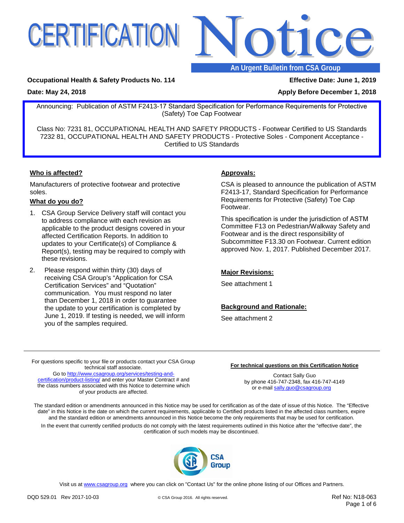



### **An Urgent Bulletin from CSA Group**

#### **Occupational Health & Safety Products No. 114 Effective Date: June 1, 2019**

**Date: May 24, 2018 Apply Before December 1, 2018 Apply Before December 1, 2018** 

### Announcing: Publication of ASTM F2413-17 Standard Specification for Performance Requirements for Protective (Safety) Toe Cap Footwear

Class No: 7231 81, OCCUPATIONAL HEALTH AND SAFETY PRODUCTS - Footwear Certified to US Standards 7232 81, OCCUPATIONAL HEALTH AND SAFETY PRODUCTS - Protective Soles - Component Acceptance - Certified to US Standards

#### **Who is affected?**

Manufacturers of protective footwear and protective soles.

#### **What do you do?**

- 1. CSA Group Service Delivery staff will contact you to address compliance with each revision as applicable to the product designs covered in your affected Certification Reports. In addition to updates to your Certificate(s) of Compliance & Report(s), testing may be required to comply with these revisions.
- 2. Please respond within thirty (30) days of receiving CSA Group's "Application for CSA Certification Services" and "Quotation" communication. You must respond no later than December 1, 2018 in order to guarantee the update to your certification is completed by June 1, 2019. If testing is needed, we will inform you of the samples required.

#### **Approvals:**

CSA is pleased to announce the publication of ASTM F2413-17, Standard Specification for Performance Requirements for Protective (Safety) Toe Cap Footwear.

This specification is under the jurisdiction of ASTM Committee F13 on Pedestrian/Walkway Safety and Footwear and is the direct responsibility of Subcommittee F13.30 on Footwear. Current edition approved Nov. 1, 2017. Published December 2017.

#### **Major Revisions:**

See attachment 1

#### **Background and Rationale:**

See attachment 2

For questions specific to your file or products contact your CSA Group technical staff associate. Go to [http://www.csagroup.org/services/testing-and-](http://www.csagroup.org/services/testing-and-certification/product-listing/)

[certification/product-listing/](http://www.csagroup.org/services/testing-and-certification/product-listing/) and enter your Master Contract # and the class numbers associated with this Notice to determine which of your products are affected.

#### **For technical questions on this Certification Notice**

Contact Sally Guo by phone 416-747-2348, fax 416-747-4149 or e-mai[l sally.guo@csagroup.org](mailto:sally.guo@csagroup.org)

The standard edition or amendments announced in this Notice may be used for certification as of the date of issue of this Notice. The "Effective date" in this Notice is the date on which the current requirements, applicable to Certified products listed in the affected class numbers, expire and the standard edition or amendments announced in this Notice become the only requirements that may be used for certification.

In the event that currently certified products do not comply with the latest requirements outlined in this Notice after the "effective date", the certification of such models may be discontinued.



Visit us at [www.csagroup.org](http://www.csagroup.org/) where you can click on "Contact Us" for the online phone listing of our Offices and Partners.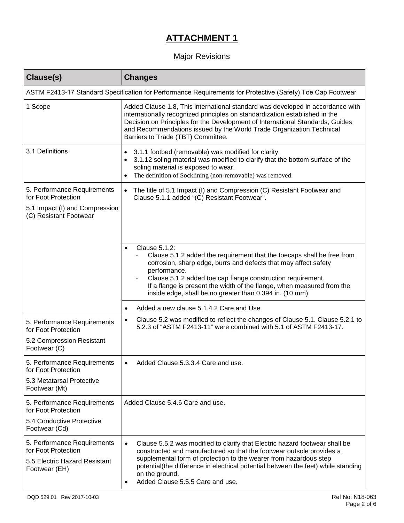# **ATTACHMENT 1**

## Major Revisions

| Clause(s)                                                                                                      | <b>Changes</b>                                                                                                                                                                                                                                                                                                                                                                                |
|----------------------------------------------------------------------------------------------------------------|-----------------------------------------------------------------------------------------------------------------------------------------------------------------------------------------------------------------------------------------------------------------------------------------------------------------------------------------------------------------------------------------------|
|                                                                                                                | ASTM F2413-17 Standard Specification for Performance Requirements for Protective (Safety) Toe Cap Footwear                                                                                                                                                                                                                                                                                    |
| 1 Scope                                                                                                        | Added Clause 1.8, This international standard was developed in accordance with<br>internationally recognized principles on standardization established in the<br>Decision on Principles for the Development of International Standards, Guides<br>and Recommendations issued by the World Trade Organization Technical<br>Barriers to Trade (TBT) Committee.                                  |
| 3.1 Definitions                                                                                                | 3.1.1 footbed (removable) was modified for clarity.<br>$\bullet$<br>3.1.12 soling material was modified to clarify that the bottom surface of the<br>٠<br>soling material is exposed to wear.<br>The definition of Socklining (non-removable) was removed.<br>٠                                                                                                                               |
| 5. Performance Requirements<br>for Foot Protection<br>5.1 Impact (I) and Compression<br>(C) Resistant Footwear | The title of 5.1 Impact (I) and Compression (C) Resistant Footwear and<br>$\bullet$<br>Clause 5.1.1 added "(C) Resistant Footwear".                                                                                                                                                                                                                                                           |
|                                                                                                                | Clause 5.1.2:<br>$\bullet$<br>Clause 5.1.2 added the requirement that the toecaps shall be free from<br>corrosion, sharp edge, burrs and defects that may affect safety<br>performance.<br>Clause 5.1.2 added toe cap flange construction requirement.<br>If a flange is present the width of the flange, when measured from the<br>inside edge, shall be no greater than 0.394 in. (10 mm).  |
|                                                                                                                | Added a new clause 5.1.4.2 Care and Use<br>$\bullet$                                                                                                                                                                                                                                                                                                                                          |
| 5. Performance Requirements<br>for Foot Protection<br>5.2 Compression Resistant                                | Clause 5.2 was modified to reflect the changes of Clause 5.1. Clause 5.2.1 to<br>$\bullet$<br>5.2.3 of "ASTM F2413-11" were combined with 5.1 of ASTM F2413-17.                                                                                                                                                                                                                               |
| Footwear (C)                                                                                                   |                                                                                                                                                                                                                                                                                                                                                                                               |
| 5. Performance Requirements<br>for Foot Protection                                                             | Added Clause 5.3.3.4 Care and use                                                                                                                                                                                                                                                                                                                                                             |
| 5.3 Metatarsal Protective<br>Footwear (Mt)                                                                     |                                                                                                                                                                                                                                                                                                                                                                                               |
| 5. Performance Requirements<br>for Foot Protection                                                             | Added Clause 5.4.6 Care and use.                                                                                                                                                                                                                                                                                                                                                              |
| 5.4 Conductive Protective<br>Footwear (Cd)                                                                     |                                                                                                                                                                                                                                                                                                                                                                                               |
| 5. Performance Requirements<br>for Foot Protection<br>5.5 Electric Hazard Resistant<br>Footwear (EH)           | Clause 5.5.2 was modified to clarify that Electric hazard footwear shall be<br>$\bullet$<br>constructed and manufactured so that the footwear outsole provides a<br>supplemental form of protection to the wearer from hazardous step<br>potential(the difference in electrical potential between the feet) while standing<br>on the ground.<br>Added Clause 5.5.5 Care and use.<br>$\bullet$ |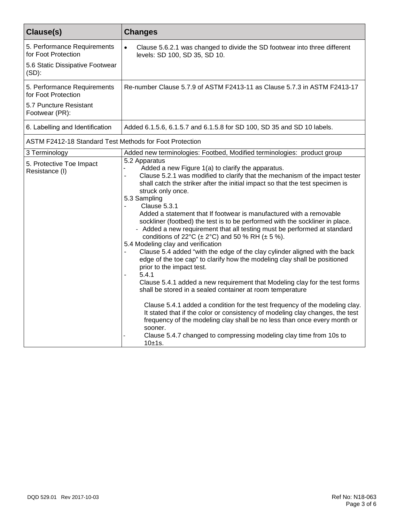| Clause(s)                                                                             | <b>Changes</b>                                                                                                                                                                                                                                                                                                                                                                                                                                                                                                                                                                                                                                                                                                                                                                                                                                                                                                                                                                                                                                                                                                                                                                                                                                                                                                    |  |
|---------------------------------------------------------------------------------------|-------------------------------------------------------------------------------------------------------------------------------------------------------------------------------------------------------------------------------------------------------------------------------------------------------------------------------------------------------------------------------------------------------------------------------------------------------------------------------------------------------------------------------------------------------------------------------------------------------------------------------------------------------------------------------------------------------------------------------------------------------------------------------------------------------------------------------------------------------------------------------------------------------------------------------------------------------------------------------------------------------------------------------------------------------------------------------------------------------------------------------------------------------------------------------------------------------------------------------------------------------------------------------------------------------------------|--|
| 5. Performance Requirements<br>for Foot Protection<br>5.6 Static Dissipative Footwear | $\bullet$<br>Clause 5.6.2.1 was changed to divide the SD footwear into three different<br>levels: SD 100, SD 35, SD 10.                                                                                                                                                                                                                                                                                                                                                                                                                                                                                                                                                                                                                                                                                                                                                                                                                                                                                                                                                                                                                                                                                                                                                                                           |  |
| $(SD)$ :                                                                              |                                                                                                                                                                                                                                                                                                                                                                                                                                                                                                                                                                                                                                                                                                                                                                                                                                                                                                                                                                                                                                                                                                                                                                                                                                                                                                                   |  |
| 5. Performance Requirements<br>for Foot Protection                                    | Re-number Clause 5.7.9 of ASTM F2413-11 as Clause 5.7.3 in ASTM F2413-17                                                                                                                                                                                                                                                                                                                                                                                                                                                                                                                                                                                                                                                                                                                                                                                                                                                                                                                                                                                                                                                                                                                                                                                                                                          |  |
| 5.7 Puncture Resistant<br>Footwear (PR):                                              |                                                                                                                                                                                                                                                                                                                                                                                                                                                                                                                                                                                                                                                                                                                                                                                                                                                                                                                                                                                                                                                                                                                                                                                                                                                                                                                   |  |
| 6. Labelling and Identification                                                       | Added 6.1.5.6, 6.1.5.7 and 6.1.5.8 for SD 100, SD 35 and SD 10 labels.                                                                                                                                                                                                                                                                                                                                                                                                                                                                                                                                                                                                                                                                                                                                                                                                                                                                                                                                                                                                                                                                                                                                                                                                                                            |  |
| ASTM F2412-18 Standard Test Methods for Foot Protection                               |                                                                                                                                                                                                                                                                                                                                                                                                                                                                                                                                                                                                                                                                                                                                                                                                                                                                                                                                                                                                                                                                                                                                                                                                                                                                                                                   |  |
| 3 Terminology                                                                         | Added new terminologies: Footbed, Modified terminologies: product group                                                                                                                                                                                                                                                                                                                                                                                                                                                                                                                                                                                                                                                                                                                                                                                                                                                                                                                                                                                                                                                                                                                                                                                                                                           |  |
| 5. Protective Toe Impact<br>Resistance (I)                                            | 5.2 Apparatus<br>Added a new Figure 1(a) to clarify the apparatus.<br>Clause 5.2.1 was modified to clarify that the mechanism of the impact tester<br>shall catch the striker after the initial impact so that the test specimen is<br>struck only once.<br>5.3 Sampling<br>Clause 5.3.1<br>Added a statement that If footwear is manufactured with a removable<br>sockliner (footbed) the test is to be performed with the sockliner in place.<br>- Added a new requirement that all testing must be performed at standard<br>conditions of 22°C ( $\pm$ 2°C) and 50 % RH ( $\pm$ 5 %).<br>5.4 Modeling clay and verification<br>Clause 5.4 added "with the edge of the clay cylinder aligned with the back<br>edge of the toe cap" to clarify how the modeling clay shall be positioned<br>prior to the impact test.<br>5.4.1<br>Clause 5.4.1 added a new requirement that Modeling clay for the test forms<br>shall be stored in a sealed container at room temperature<br>Clause 5.4.1 added a condition for the test frequency of the modeling clay.<br>It stated that if the color or consistency of modeling clay changes, the test<br>frequency of the modeling clay shall be no less than once every month or<br>sooner.<br>Clause 5.4.7 changed to compressing modeling clay time from 10s to<br>10±1s. |  |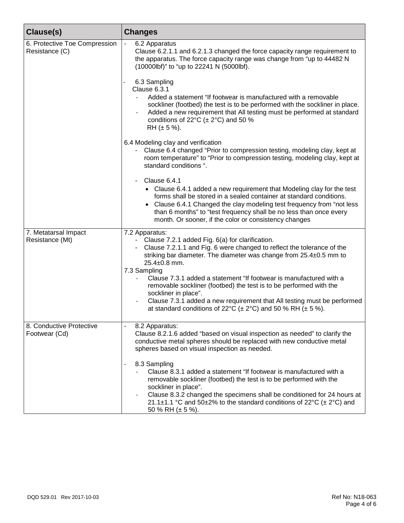| Clause(s)                                       | <b>Changes</b>                                                                                                                                                                                                                                                                                                                                                                                                                                                                                                                                                                                       |
|-------------------------------------------------|------------------------------------------------------------------------------------------------------------------------------------------------------------------------------------------------------------------------------------------------------------------------------------------------------------------------------------------------------------------------------------------------------------------------------------------------------------------------------------------------------------------------------------------------------------------------------------------------------|
| 6. Protective Toe Compression<br>Resistance (C) | 6.2 Apparatus<br>$\overline{\phantom{a}}$<br>Clause 6.2.1.1 and 6.2.1.3 changed the force capacity range requirement to<br>the apparatus. The force capacity range was change from "up to 44482 N<br>(10000lbf)" to "up to 22241 N (5000lbf).                                                                                                                                                                                                                                                                                                                                                        |
|                                                 | 6.3 Sampling<br>Clause 6.3.1<br>Added a statement "If footwear is manufactured with a removable<br>sockliner (footbed) the test is to be performed with the sockliner in place.<br>Added a new requirement that All testing must be performed at standard<br>conditions of 22 $\textdegree$ C ( $\pm$ 2 $\textdegree$ C) and 50 %<br>RH $(\pm 5\%)$ .                                                                                                                                                                                                                                                |
|                                                 | 6.4 Modeling clay and verification<br>- Clause 6.4 changed "Prior to compression testing, modeling clay, kept at<br>room temperature" to "Prior to compression testing, modeling clay, kept at<br>standard conditions ".                                                                                                                                                                                                                                                                                                                                                                             |
|                                                 | Clause 6.4.1<br>• Clause 6.4.1 added a new requirement that Modeling clay for the test<br>forms shall be stored in a sealed container at standard conditions.<br>Clause 6.4.1 Changed the clay modeling test frequency from "not less<br>than 6 months" to "test frequency shall be no less than once every<br>month. Or sooner, if the color or consistency changes                                                                                                                                                                                                                                 |
| 7. Metatarsal Impact<br>Resistance (Mt)         | 7.2 Apparatus:<br>- Clause 7.2.1 added Fig. 6(a) for clarification.<br>Clause 7.2.1.1 and Fig. 6 were changed to reflect the tolerance of the<br>$\sim$ 10 $\pm$<br>striking bar diameter. The diameter was change from 25.4±0.5 mm to<br>$25.4 \pm 0.8$ mm.<br>7.3 Sampling<br>Clause 7.3.1 added a statement "If footwear is manufactured with a<br>removable sockliner (footbed) the test is to be performed with the<br>sockliner in place".<br>Clause 7.3.1 added a new requirement that All testing must be performed<br>at standard conditions of 22°C ( $\pm$ 2°C) and 50 % RH ( $\pm$ 5 %). |
| 8. Conductive Protective<br>Footwear (Cd)       | 8.2 Apparatus:<br>Clause 8.2.1.6 added "based on visual inspection as needed" to clarify the<br>conductive metal spheres should be replaced with new conductive metal<br>spheres based on visual inspection as needed.                                                                                                                                                                                                                                                                                                                                                                               |
|                                                 | 8.3 Sampling<br>$\overline{a}$<br>Clause 8.3.1 added a statement "If footwear is manufactured with a<br>removable sockliner (footbed) the test is to be performed with the<br>sockliner in place".<br>Clause 8.3.2 changed the specimens shall be conditioned for 24 hours at<br>21.1±1.1 °C and 50±2% to the standard conditions of 22°C (± 2°C) and<br>50 % RH ( $\pm$ 5 %).                                                                                                                                                                                                                       |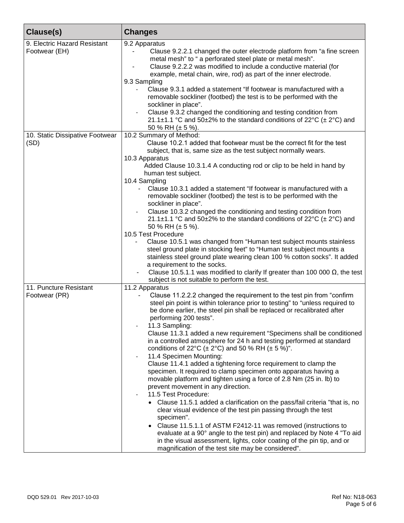| Clause(s)                                     | <b>Changes</b>                                                                                                                                                                                                                                                                                                                                                                                                                                                                                                                                                                                                                                                                                                                                                                                                                                                                                                                                                                                                                                                                                                                                                                                                                                                                |
|-----------------------------------------------|-------------------------------------------------------------------------------------------------------------------------------------------------------------------------------------------------------------------------------------------------------------------------------------------------------------------------------------------------------------------------------------------------------------------------------------------------------------------------------------------------------------------------------------------------------------------------------------------------------------------------------------------------------------------------------------------------------------------------------------------------------------------------------------------------------------------------------------------------------------------------------------------------------------------------------------------------------------------------------------------------------------------------------------------------------------------------------------------------------------------------------------------------------------------------------------------------------------------------------------------------------------------------------|
| 9. Electric Hazard Resistant<br>Footwear (EH) | 9.2 Apparatus<br>Clause 9.2.2.1 changed the outer electrode platform from "a fine screen<br>metal mesh" to " a perforated steel plate or metal mesh".<br>Clause 9.2.2.2 was modified to include a conductive material (for<br>example, metal chain, wire, rod) as part of the inner electrode.<br>9.3 Sampling<br>Clause 9.3.1 added a statement "If footwear is manufactured with a<br>removable sockliner (footbed) the test is to be performed with the<br>sockliner in place".<br>Clause 9.3.2 changed the conditioning and testing condition from<br>21.1±1.1 °C and 50±2% to the standard conditions of 22°C ( $\pm$ 2°C) and<br>50 % RH ( $\pm$ 5 %).                                                                                                                                                                                                                                                                                                                                                                                                                                                                                                                                                                                                                  |
| 10. Static Dissipative Footwear<br>(SD)       | 10.2 Summary of Method:<br>Clause 10.2.1 added that footwear must be the correct fit for the test<br>subject, that is, same size as the test subject normally wears.<br>10.3 Apparatus<br>Added Clause 10.3.1.4 A conducting rod or clip to be held in hand by<br>human test subject.<br>10.4 Sampling<br>Clause 10.3.1 added a statement "If footwear is manufactured with a<br>$\blacksquare$<br>removable sockliner (footbed) the test is to be performed with the<br>sockliner in place".<br>Clause 10.3.2 changed the conditioning and testing condition from<br>21.1±1.1 °C and 50±2% to the standard conditions of 22°C ( $\pm$ 2°C) and<br>50 % RH ( $\pm$ 5 %).<br>10.5 Test Procedure<br>Clause 10.5.1 was changed from "Human test subject mounts stainless<br>steel ground plate in stocking feet" to "Human test subject mounts a<br>stainless steel ground plate wearing clean 100 % cotton socks". It added<br>a requirement to the socks.<br>Clause 10.5.1.1 was modified to clarify If greater than 100 000 $\Omega$ , the test<br>subject is not suitable to perform the test.                                                                                                                                                                              |
| 11. Puncture Resistant<br>Footwear (PR)       | 11.2 Apparatus<br>Clause 11.2.2.2 changed the requirement to the test pin from "confirm"<br>steel pin point is within tolerance prior to testing" to "unless required to<br>be done earlier, the steel pin shall be replaced or recalibrated after<br>performing 200 tests".<br>11.3 Sampling:<br>Clause 11.3.1 added a new requirement "Specimens shall be conditioned<br>in a controlled atmosphere for 24 h and testing performed at standard<br>conditions of 22°C ( $\pm$ 2°C) and 50 % RH ( $\pm$ 5 %)".<br>11.4 Specimen Mounting:<br>Clause 11.4.1 added a tightening force requirement to clamp the<br>specimen. It required to clamp specimen onto apparatus having a<br>movable platform and tighten using a force of 2.8 Nm (25 in. lb) to<br>prevent movement in any direction.<br>11.5 Test Procedure:<br>• Clause 11.5.1 added a clarification on the pass/fail criteria "that is, no<br>clear visual evidence of the test pin passing through the test<br>specimen".<br>Clause 11.5.1.1 of ASTM F2412-11 was removed (instructions to<br>$\bullet$<br>evaluate at a 90° angle to the test pin) and replaced by Note 4 "To aid<br>in the visual assessment, lights, color coating of the pin tip, and or<br>magnification of the test site may be considered". |